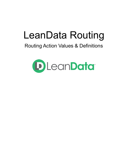# LeanData Routing

## Routing Action Values & Definitions

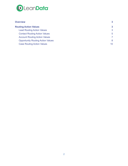

| <b>Overview</b>                          | $\mathbf{3}$    |
|------------------------------------------|-----------------|
| <b>Routing Action Values</b>             | $\mathbf{3}$    |
| <b>Lead Routing Action Values</b>        | 3               |
| <b>Contact Routing Action Values</b>     | 5               |
| <b>Account Routing Action Values</b>     | 7               |
| <b>Opportunity Routing Action Values</b> | 8               |
| <b>Case Routing Action Values</b>        | 10 <sup>°</sup> |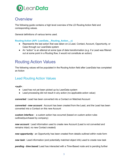

## <span id="page-2-0"></span>**Overview**

The following guide contains a high level overview of the LD Routing Action field and corresponding values.

General definitions of various terms used.

#### **Routing Action (API: LeanData\_\_Routing\_Action\_\_c)**

- Represents the last action that was taken on a Lead, Contact, Account, Opportunity, or Case through our LeanData system
- An "action" is an attempt at some type of data transformation (e.g. if a Lead was filtered out at some point in a Routing flow, it would not constitute an action)

## <span id="page-2-1"></span>Routing Action Values

The following values will be populated in the Routing Action field after LeanData has completed an Action

## <span id="page-2-2"></span>Lead Routing Action Values

*<null>* :

- Lead has not yet been picked up by LeanData system
- Lead processing did not result in any action (no applicable action value)

*converted* : Lead has been converted into a Contact on Matched Account

*converted - new account :* Account has been created from the Lead, and the Lead has been converted into a Contact on this new Account

*custom interface :* a custom action has occurred (based on custom action rules outlined/purchased by company)

*new account* : Lead information used to create new Account (Lead is not converted and remains intact; no new Contact created)

*new opportunity* : an Opportunity has been created from details outlined within node form

*new task* : Lead information (and potentially matched object info) used to create new task

*pending - time based*: Lead has interacted with a Time-Based node and is pending further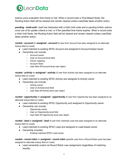

actions once evaluation time frame is met. When a record exits a Time-Based Node, the Routing Action field will be cleared and remain cleared unless LeanData takes another action.

*pending - hold-until:* Lead has interacted with a Hold Until node and is pending further actions once one of its update criteria is met, or if the specified time frame expires. When a record exits a Hold Until Node, the Routing Action field will be cleared and remain cleared unless LeanData takes another action.

*routed - account* or *assigned - account* (if user from Account has been assigned to an alternate lookup field on Lead):

- Lead matched to existing SFDC Account and assigned to Account-based owner
- Ownership can include:
	- Account owner
	- User on Account-level field
	- Owner mapping
	- Account Team
	- User field off Account-level user object

*routed - activity* or *assigned - activity* (if user from Activity has been assigned to an alternate lookup field on Lead):

- Lead matched to existing SFDC Activity and assigned to Activity owner
- Ownership can include:
	- Activity owner
	- User on Activity-level field
	- User field off Activity-level user object

*routed - opportunity* or *assigned - opportunity* (if user from Opportunity has been assigned to an alternate lookup field on Lead):

- Lead matched to existing SFDC Opportunity and assigned to Opportunity owner
- Ownership can include:
	- Opportunity owner
		- User on Opportunity-level field
		- User field off Opportunity-level user object

*routed - lead* or *assigned - lead* (if user from matched Lead has been assigned to an alternate lookup field on Lead):

- **●** Lead matched to existing SFDC Lead and assigned to Lead-based owner
- **●** Ownership includes:
	- **○** Existing matched SFDC Lead owner

*routed - round robin* or *assigned - round robin* (specific user from a Round Robin pool has been assigned to alternate lookup field on Lead):

● Lead ownership routed via Round Robin user assignment (regardless of matching results)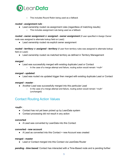

○ This includes Round Robin being used as a fallback

#### *routed - assignment rule* :

- Lead ownership routed via assignment rules (regardless of matching results)
	- This includes assignment rule being used as a fallback

*routed - owner assignment* or *assigned - owner assignment* (if user specified in Assign Owner node was assigned to alternate lookup field on Lead):

● Lead ownership routed via explicit owner assignment

*routed - territory* or *assigned - territory* (if user from territory rules was assigned to alternate lookup field on Lead):

● Lead ownership routed via matched territory as defined in Territory Management

#### *merged* :

- **●** Lead was successfully merged with existing duplicate Lead or Contact
	- In the case of a merge attempt and failure, routing action would remain '<null>'

#### *merged - updated:*

● Lead was routed via updated trigger then merged with existing duplicate Lead or Contact

#### *merged - master* :

- **●** Another Lead was successfully merged into this particular Lead
	- In the case of a merge attempt and failure, routing action would remain '<null>' (unchanged)

## <span id="page-4-0"></span>Contact Routing Action Values

#### *<null>* :

- **●** Contact has not yet been picked up by LeanData system
- Contact processing did not result in any action

#### **converted**

● A Lead was converted by LeanData into this Contact

#### **converted - new account**

● A Lead as converted into this Contact + new Account was created

#### **merged - master**

● Lead or Contact merged into this Contact via LeanData Router

*pending - time based*: Contact has interacted with a Time-Based node and is pending further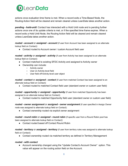

actions once evaluation time frame is met. When a record exits a Time-Based Node, the Routing Action field will be cleared and remain cleared unless LeanData takes another action.

*pending - hold-until:* Contact has interacted with a Hold Until node and is pending further actions once one of its update criteria is met, or if the specified time frame expires. When a record exits a Hold Until Node, the Routing Action field will be cleared and remain cleared unless LeanData takes another action.

*routed - account* or *assigned - account* (if user from Account has been assigned to an alternate lookup field on Contact):

*●* Contact routed to Account owner / custom Account field user

*routed - activity* or *assigned - activity* (if user from Activity has been assigned to an alternate lookup field on Contact):

- Contact matched to existing SFDC Activity and assigned to Activity owner
- Ownership can include:
	- Activity owner
		- User on Activity-level field
		- User field off Activity-level user object

*routed - contact* or *assigned - contact* (if user from matched Contact has been assigned to an alternate lookup field on Contact):

• Contact routed to matched Contact field user (standard owner or custom user field)

*routed - opportunity* or *assigned - opportunity* (if user from matched Opportunity has been assigned to an alternate lookup field on Contact):

• Contact routed to matched Opportunity field user (standard owner or custom user field)

*routed - owner assignment* or *assigned - owner assignment* (if user specified in Assign Owner node was assigned to alternate lookup field on Contact):

● Contact ownership routed via explicit owner assignment

*routed - round robin* or *assigned - round robin* (if specific user from a Round Robin pool has been assigned to alternate lookup field on Contact):

● Contact routed based off Contact Round Robin

*routed - territory* or *assigned - territory* (if user from territory rules was assigned to alternate lookup field on Contact):

• Contact ownership routed via matched territory as defined in Territory Management

#### *routed - with contact*

● Account ownership changed using the "Update Contact's Account Owner" option. This value will appear on the routing action field on the Account.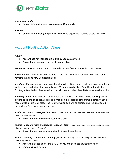

#### *new opportunity* :

● Contact information used to create new Opportunity

#### *new task* :

● Contact information (and potentially matched object info) used to create new task

## <span id="page-6-0"></span>Account Routing Action Values

*<null>* :

- Account has not yet been picked up by LeanData system
- Account processing did not result in any action

*converted - new account :* Lead converted to a new Contact + new Account created

*new account* : Lead information used to create new Account (Lead is not converted and remains intact; no new Contact created)

*pending - time based*: Account has interacted with a Time-Based node and is pending further actions once evaluation time frame is met. When a record exits a Time-Based Node, the Routing Action field will be cleared and remain cleared unless LeanData takes another action.

*pending - hold-until:* Account has interacted with a Hold Until node and is pending further actions once one of its update criteria is met, or if the specified time frame expires. When a record exits a Hold Until Node, the Routing Action field will be cleared and remain cleared unless LeanData takes another action.

*routed - account or assigned - account* (if user from Account has been assigned to an alternate lookup field on Account):

● Account routed to custom Account field user

*routed - account team or assigned - account team* (if user from team has been assigned to an alternate lookup field on Account):

● Account routed to user designated in Account team layout

*routed - activity* or *assigned - activity* (if user from Activity has been assigned to an alternate lookup field on Account):

- Account matched to existing SFDC Activity and assigned to Activity owner
- Ownership can include: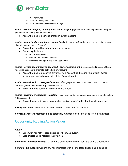

- Activity owner
- User on Activity-level field
- User field off Activity-level user object

*routed - owner mapping or assigned - owner mapping* (if user from mapping has been assigned to an alternate lookup field on Account):

• Account routed to user designated in owner mapping

*routed - opportunity* or *assigned - opportunity* (if user from Opportunity has been assigned to an alternate lookup field on Account):

- Account assigned based on Opportunity owner
- *●* Ownership includes:
	- *○* Opportunity owner
	- *○* User on Opportunity-level field
	- *○* User field off Opportunity-level user object

*routed - owner assignment* or *assigned - owner assignment* (if user specified in Assign Owner node was assigned to alternate lookup field on Account):

● Account routed to a user via any other non-Account field means (e.g. explicit owner assignment, related object field off the Account, etc.)

*routed - round robin* or *assigned - round robin* (if specific user from a Round Robin pool has been assigned to alternate lookup field on Account):

● Account routed based off Account Round Robin

*routed - territory* or *assigned - territory* (if user from territory rules was assigned to alternate lookup field on Account):

● Account ownership routed via matched territory as defined in Territory Management

*new opportunity* : Account information used to create new Opportunity

<span id="page-7-0"></span>*new task* : Account information (and potentially matched object info) used to create new task

## Opportunity Routing Action Values

*<null>* :

- **●** Opportunity has not yet been picked up by LeanData system
- Lead processing did not result in any action

*converted - new opportunity :* a Lead has been converted by LeanData to this Opportunity

*pending - time based*: Opportunity has interacted with a Time-Based node and is pending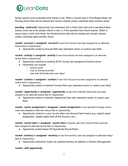

further actions once evaluation time frame is met. When a record exits a Time-Based Node, the Routing Action field will be cleared and remain cleared unless LeanData takes another action.

*pending - hold-until:* Opportunity has interacted with a Hold Until node and is pending further actions once one of its update criteria is met, or if the specified time frame expires. When a record exits a Hold Until Node, the Routing Action field will be cleared and remain cleared unless LeanData takes another action.

*routed - account* or *assigned - account* (if user from Account has been assigned to an alternate lookup field on Opportunity):

• Opportunity routed to Account field user (standard owner or custom user field)

*routed - activity* or *assigned - activity* (if user from Activity has been assigned to an alternate lookup field on Opportunity):

- Opportunity matched to existing SFDC Activity and assigned to Activity owner
- Ownership can include:
	- Activity owner
	- User on Activity-level field
	- User field off Activity-level user object

*routed - contact* or *assigned - contact* (if user from Account has been assigned to an alternate lookup field on Opportunity):

• Opportunity routed to matched Contact field user (standard owner or custom user field)

*routed - opportunity* or *assigned - opportunity* (if user from matched Opportunity has been assigned to an alternate lookup field on Opportunity):

• Opportunity routed to matched Opportunity field user (standard owner or custom user field)

*routed - owner assignment* or *assigned - owner assignment* (if user specified in Assign Owner node was assigned to alternate lookup field on Opportunity):

● Opportunity routed to a user via any other non-Account field means (e.g. explicit owner assignment, related object field off the Account, etc.)

*routed - round robin* or *assigned - round robin* (if specific user from a Round Robin pool has been assigned to alternate lookup field on Opportunity):

● Opportunity routed based off Opportunity Round Robin

*routed - territory* or *assigned - territory* (if user from territory rules was assigned to alternate lookup field on Opportunity):

● Opportunity ownership routed via matched territory as defined in Territory Management

#### *routed - with opportunity*